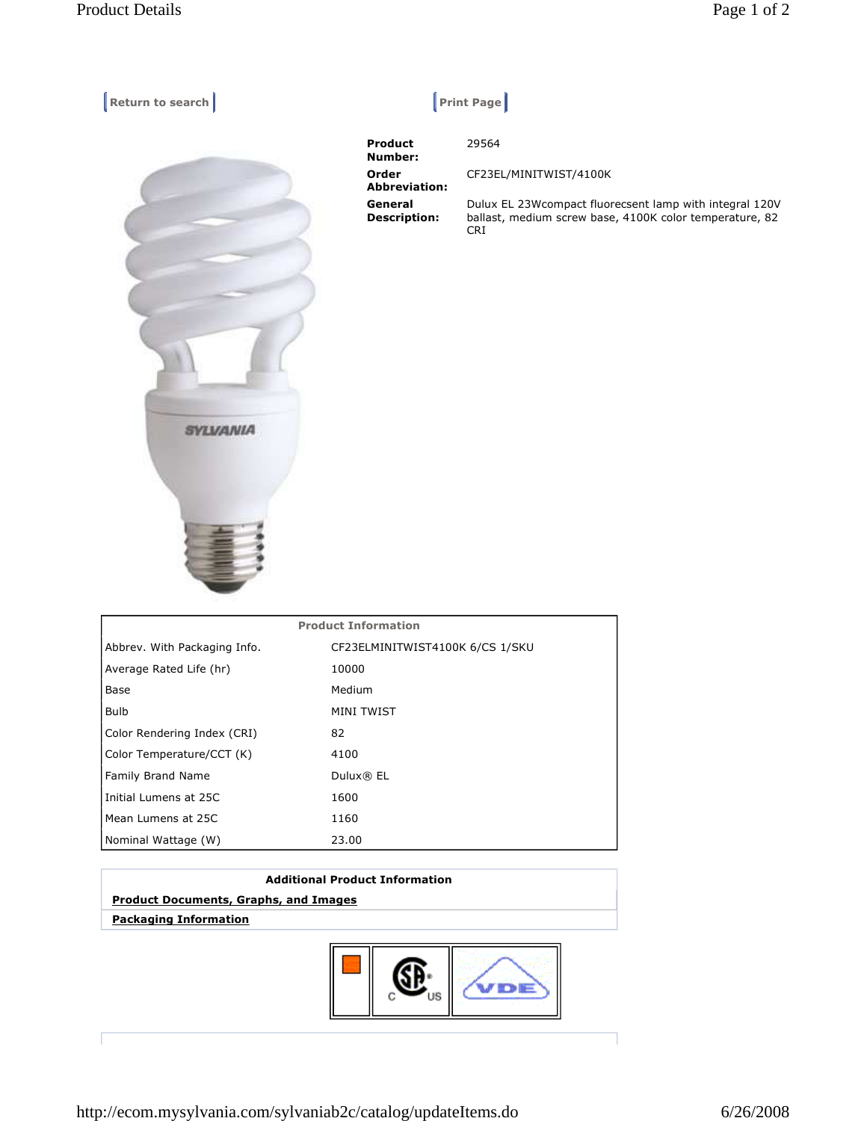**Return to search Return Construction Construction Construction Construction Construction Construction Construction Construction Construction Construction Construction Construction Construction Construction Construction Co** 



29564

 **Product Number: Order Abbreviation: General Description:** 

CF23EL/MINITWIST/4100K Dulux EL 23Wcompact fluorecsent lamp with integral 120V ballast, medium screw base, 4100K color temperature, 82 CRI

| <b>Product Information</b>   |                                 |
|------------------------------|---------------------------------|
| Abbrev. With Packaging Info. | CF23ELMINITWIST4100K 6/CS 1/SKU |
| Average Rated Life (hr)      | 10000                           |
| Base                         | Medium                          |
| <b>Bulb</b>                  | MINI TWIST                      |
| Color Rendering Index (CRI)  | 82                              |
| Color Temperature/CCT (K)    | 4100                            |
| Family Brand Name            | Dulux® EL                       |
| Initial Lumens at 25C        | 1600                            |
| Mean Lumens at 25C           | 1160                            |
| Nominal Wattage (W)          | 23.00                           |

## **Additional Product Information Product Documents, Graphs, and Images Packaging Information**



http://ecom.mysylvania.com/sylvaniab2c/catalog/updateItems.do 6/26/2008